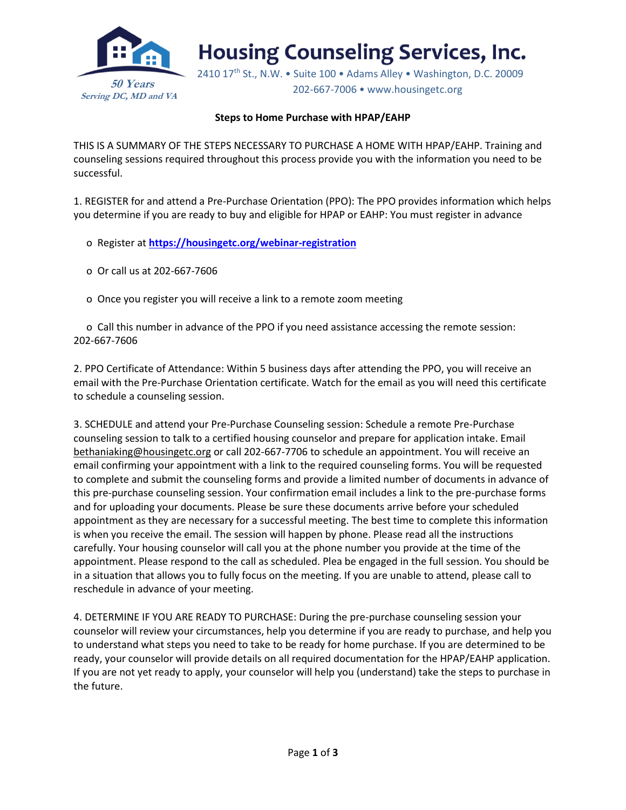

**Housing Counseling Services, Inc.** 

2410 17<sup>th</sup> St., N.W. • Suite 100 • Adams Alley • Washington, D.C. 20009 202-667-7006 • www.housingetc.org

## **Steps to Home Purchase with HPAP/EAHP**

THIS IS A SUMMARY OF THE STEPS NECESSARY TO PURCHASE A HOME WITH HPAP/EAHP. Training and counseling sessions required throughout this process provide you with the information you need to be successful.

1. REGISTER for and attend a Pre-Purchase Orientation (PPO): The PPO provides information which helps you determine if you are ready to buy and eligible for HPAP or EAHP: You must register in advance

- o Register at **<https://housingetc.org/webinar-registration>**
- o Or call us at 202-667-7606
- o Once you register you will receive a link to a remote zoom meeting

 o Call this number in advance of the PPO if you need assistance accessing the remote session: 202-667-7606

2. PPO Certificate of Attendance: Within 5 business days after attending the PPO, you will receive an email with the Pre-Purchase Orientation certificate. Watch for the email as you will need this certificate to schedule a counseling session.

3. SCHEDULE and attend your Pre-Purchase Counseling session: Schedule a remote Pre-Purchase counseling session to talk to a certified housing counselor and prepare for application intake. Email bethaniaking@housingetc.org or call 202-667-7706 to schedule an appointment. You will receive an email confirming your appointment with a link to the required counseling forms. You will be requested to complete and submit the counseling forms and provide a limited number of documents in advance of this pre-purchase counseling session. Your confirmation email includes a link to the pre-purchase forms and for uploading your documents. Please be sure these documents arrive before your scheduled appointment as they are necessary for a successful meeting. The best time to complete this information is when you receive the email. The session will happen by phone. Please read all the instructions carefully. Your housing counselor will call you at the phone number you provide at the time of the appointment. Please respond to the call as scheduled. Plea be engaged in the full session. You should be in a situation that allows you to fully focus on the meeting. If you are unable to attend, please call to reschedule in advance of your meeting.

4. DETERMINE IF YOU ARE READY TO PURCHASE: During the pre-purchase counseling session your counselor will review your circumstances, help you determine if you are ready to purchase, and help you to understand what steps you need to take to be ready for home purchase. If you are determined to be ready, your counselor will provide details on all required documentation for the HPAP/EAHP application. If you are not yet ready to apply, your counselor will help you (understand) take the steps to purchase in the future.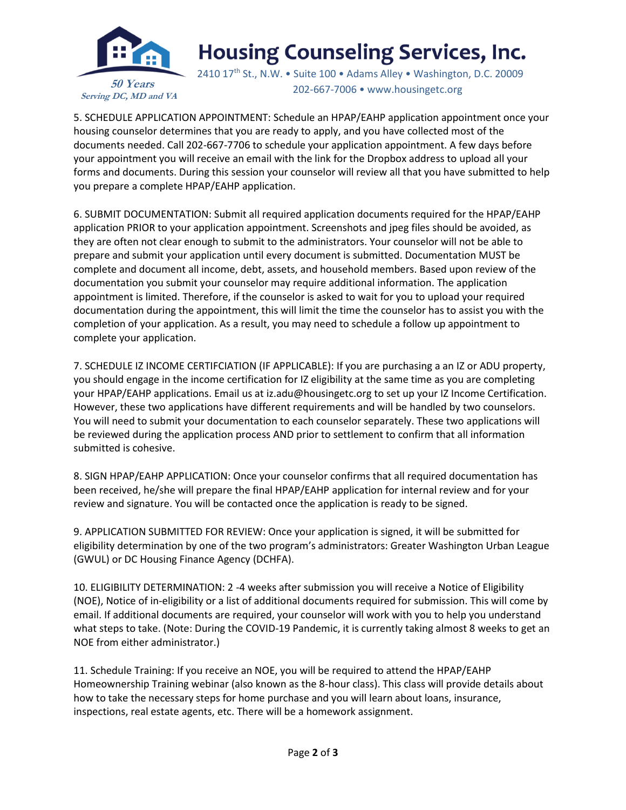

## **Housing Counseling Services, Inc.**

2410 17<sup>th</sup> St., N.W. • Suite 100 • Adams Alley • Washington, D.C. 20009 202-667-7006 • www.housingetc.org

5. SCHEDULE APPLICATION APPOINTMENT: Schedule an HPAP/EAHP application appointment once your housing counselor determines that you are ready to apply, and you have collected most of the documents needed. Call 202-667-7706 to schedule your application appointment. A few days before your appointment you will receive an email with the link for the Dropbox address to upload all your forms and documents. During this session your counselor will review all that you have submitted to help you prepare a complete HPAP/EAHP application.

6. SUBMIT DOCUMENTATION: Submit all required application documents required for the HPAP/EAHP application PRIOR to your application appointment. Screenshots and jpeg files should be avoided, as they are often not clear enough to submit to the administrators. Your counselor will not be able to prepare and submit your application until every document is submitted. Documentation MUST be complete and document all income, debt, assets, and household members. Based upon review of the documentation you submit your counselor may require additional information. The application appointment is limited. Therefore, if the counselor is asked to wait for you to upload your required documentation during the appointment, this will limit the time the counselor has to assist you with the completion of your application. As a result, you may need to schedule a follow up appointment to complete your application.

7. SCHEDULE IZ INCOME CERTIFCIATION (IF APPLICABLE): If you are purchasing a an IZ or ADU property, you should engage in the income certification for IZ eligibility at the same time as you are completing your HPAP/EAHP applications. Email us at iz.adu@housingetc.org to set up your IZ Income Certification. However, these two applications have different requirements and will be handled by two counselors. You will need to submit your documentation to each counselor separately. These two applications will be reviewed during the application process AND prior to settlement to confirm that all information submitted is cohesive.

8. SIGN HPAP/EAHP APPLICATION: Once your counselor confirms that all required documentation has been received, he/she will prepare the final HPAP/EAHP application for internal review and for your review and signature. You will be contacted once the application is ready to be signed.

9. APPLICATION SUBMITTED FOR REVIEW: Once your application is signed, it will be submitted for eligibility determination by one of the two program's administrators: Greater Washington Urban League (GWUL) or DC Housing Finance Agency (DCHFA).

10. ELIGIBILITY DETERMINATION: 2 -4 weeks after submission you will receive a Notice of Eligibility (NOE), Notice of in-eligibility or a list of additional documents required for submission. This will come by email. If additional documents are required, your counselor will work with you to help you understand what steps to take. (Note: During the COVID-19 Pandemic, it is currently taking almost 8 weeks to get an NOE from either administrator.)

11. Schedule Training: If you receive an NOE, you will be required to attend the HPAP/EAHP Homeownership Training webinar (also known as the 8-hour class). This class will provide details about how to take the necessary steps for home purchase and you will learn about loans, insurance, inspections, real estate agents, etc. There will be a homework assignment.